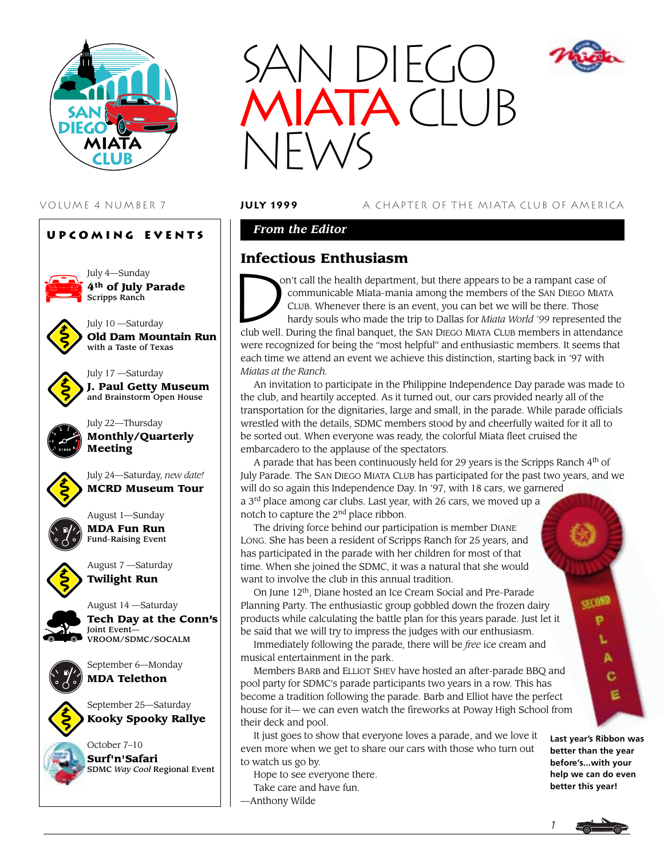

### **Upcoming Events**



July 4—Sunday **4th of July Parade** Scripps Ranch



July 10 —Saturday **Old Dam Mountain Run** with a Taste of Texas



July 17 —Saturday **J. Paul Getty Museum** and Brainstorm Open House



July 22—Thursday **Monthly/Quarterly Meeting**



July 24—Saturday, *new date!* **MCRD Museum Tour**



August 1—Sunday **MDA Fun Run** Fund-Raising Event

August 7 —Saturday **Twilight Run**



August 14 —Saturday **Tech Day at the Conn's** Joint Event— VROOM/SDMC/SOCALM



September 6—Monday **MDA Telethon**

September 25—Saturday **Kooky Spooky Rallye**





### VOLUME 4 NUMBER 7 **july 1999** A CHAPTER OF THE MIATA CLUB OF AMERICA

### *From the Editor*

# **Infectious Enthusiasm**

Infection on't call the health department, but there appears to be a rampant case of communicable Miata-mania among the members of the SAN DIEGO MIATA CLUB. Whenever there is an event, you can bet we will be there. Those hardy souls who made the trip to Dallas for *Miata World '99* represented the club well. During the final banquet, the SAN DIEGO MIATA CLUB members in attendance were recognized for being the "most helpful" and enthusiastic members. It seems that each time we attend an event we achieve this distinction, starting back in '97 with *Miatas at the Ranch.*

An invitation to participate in the Philippine Independence Day parade was made to the club, and heartily accepted. As it turned out, our cars provided nearly all of the transportation for the dignitaries, large and small, in the parade. While parade officials wrestled with the details, SDMC members stood by and cheerfully waited for it all to be sorted out. When everyone was ready, the colorful Miata fleet cruised the embarcadero to the applause of the spectators.

A parade that has been continuously held for 29 years is the Scripps Ranch 4<sup>th</sup> of July Parade. The SAN DIEGO MIATA CLUB has participated for the past two years, and we will do so again this Independence Day. In '97, with 18 cars, we garnered a  $3<sup>rd</sup>$  place among car clubs. Last year, with 26 cars, we moved up a notch to capture the 2<sup>nd</sup> place ribbon.

The driving force behind our participation is member DIANE LONG. She has been a resident of Scripps Ranch for 25 years, and has participated in the parade with her children for most of that time. When she joined the SDMC, it was a natural that she would want to involve the club in this annual tradition.

On June 12th, Diane hosted an Ice Cream Social and Pre-Parade Planning Party. The enthusiastic group gobbled down the frozen dairy products while calculating the battle plan for this years parade. Just let it be said that we will try to impress the judges with our enthusiasm.

Immediately following the parade, there will be *free* ice cream and musical entertainment in the park.

Members BARB and ELLIOT SHEV have hosted an after-parade BBQ and pool party for SDMC's parade participants two years in a row. This has become a tradition following the parade. Barb and Elliot have the perfect house for it— we can even watch the fireworks at Poway High School from their deck and pool.

It just goes to show that everyone loves a parade, and we love it even more when we get to share our cars with those who turn out to watch us go by.

Hope to see everyone there.

- Take care and have fun.
- —Anthony Wilde



**better than the year before's...with your help we can do even better this year!**

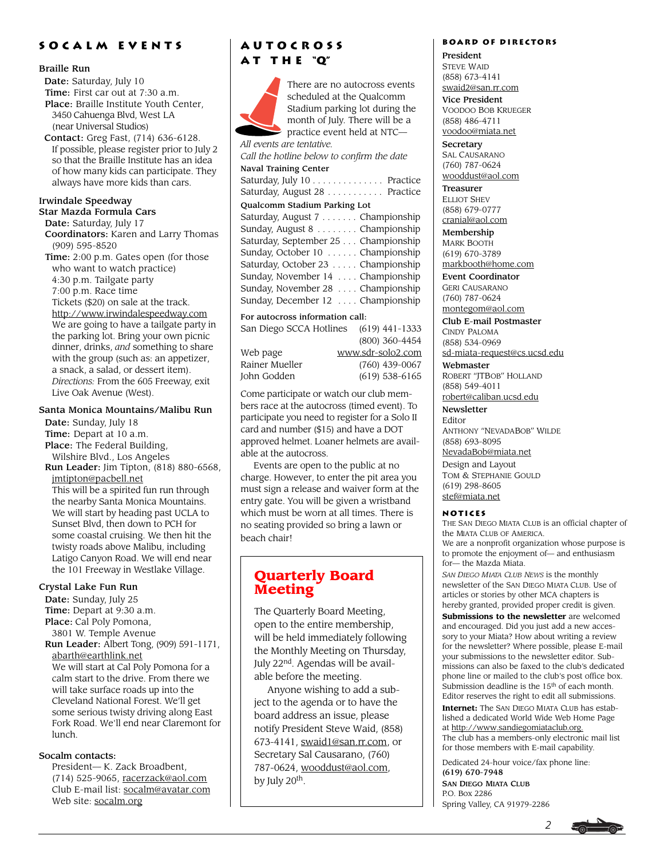### **Socalm events**

#### Braille Run

Date: Saturday, July 10

Time: First car out at 7:30 a.m.

 Place: Braille Institute Youth Center, 3450 Cahuenga Blvd, West LA (near Universal Studios)

 Contact: Greg Fast, (714) 636-6128. If possible, please register prior to July 2 so that the Braille Institute has an idea of how many kids can participate. They always have more kids than cars.

#### Irwindale Speedway

Star Mazda Formula Cars Date: Saturday, July 17 Coordinators: Karen and Larry Thomas (909) 595-8520 Time: 2:00 p.m. Gates open (for those who want to watch practice) 4:30 p.m. Tailgate party 7:00 p.m. Race time Tickets (\$20) on sale at the track. http://www.irwindalespeedway.com We are going to have a tailgate party in the parking lot. Bring your own picnic dinner, drinks, *and* something to share with the group (such as: an appetizer, a snack, a salad, or dessert item).

*Directions:* From the 605 Freeway, exit Live Oak Avenue (West).

### Santa Monica Mountains/Malibu Run

 Date: Sunday, July 18 Time: Depart at 10 a.m. Place: The Federal Building, Wilshire Blvd., Los Angeles

 Run Leader: Jim Tipton, (818) 880-6568, jmtipton@pacbell.net

This will be a spirited fun run through the nearby Santa Monica Mountains. We will start by heading past UCLA to Sunset Blvd, then down to PCH for some coastal cruising. We then hit the twisty roads above Malibu, including Latigo Canyon Road. We will end near the 101 Freeway in Westlake Village.

#### Crystal Lake Fun Run

 Date: Sunday, July 25 Time: Depart at 9:30 a.m. Place: Cal Poly Pomona, 3801 W. Temple Avenue Run Leader: Albert Tong, (909) 591-1171, abarth@earthlink.net We will start at Cal Poly Pomona for a calm start to the drive. From there we will take surface roads up into the Cleveland National Forest. We'll get some serious twisty driving along East Fork Road. We'll end near Claremont for lunch.

### Socalm contacts:

President— K. Zack Broadbent, (714) 525-9065, racerzack@aol.com Club E-mail list: socalm@avatar.com Web site: socalm.org

# **Autocross a t t h e "Q"**



San Diego SCCA Hotlines (619) 441-1333 (800) 360-4454 Web page www.sdr-solo2.com Rainer Mueller (760) 439-0067<br>John Godden (619) 538-6165

(619) 538-6165

Come participate or watch our club members race at the autocross (timed event). To participate you need to register for a Solo II card and number (\$15) and have a DOT approved helmet. Loaner helmets are available at the autocross.

Events are open to the public at no charge. However, to enter the pit area you must sign a release and waiver form at the entry gate. You will be given a wristband which must be worn at all times. There is no seating provided so bring a lawn or beach chair!

# **Quarterly Board Meeting**

The Quarterly Board Meeting, open to the entire membership, will be held immediately following the Monthly Meeting on Thursday, July 22<sup>nd</sup>. Agendas will be available before the meeting.

Anyone wishing to add a subject to the agenda or to have the board address an issue, please notify President Steve Waid, (858) 673-4141, swaid1@san.rr.com, or Secretary Sal Causarano, (760) 787-0624, wooddust@aol.com, by July 20<sup>th</sup>.

### **Board of Directors**

President STEVE WAID (858) 673-4141 swaid2@san.rr.com

Vice President VOODOO BOB KRUEGER (858) 486-4711 voodoo@miata.net

**Secretary** SAL CAUSARANO (760) 787-0624 wooddust@aol.com

Treasurer ELLIOT SHEV (858) 679-0777 cranial@aol.com

Membership MARK BOOTH (619) 670-3789 markbooth@home.com

Event Coordinator GERI CAUSARANO (760) 787-0624 montegom@aol.com

Club E-mail Postmaster CINDY PALOMA (858) 534-0969 sd-miata-request@cs.ucsd.edu

Webmaster ROBERT "JTBOB" HOLLAND (858) 549-4011

robert@caliban.ucsd.edu

Newsletter Editor ANTHONY "NEVADABOB" WILDE (858) 693-8095

NevadaBob@miata.net

Design and Layout TOM & STEPHANIE GOULD (619) 298-8605 stef@miata.net

### **Notices**

THE SAN DIEGO MIATA CLUB is an official chapter of the MIATA CLUB OF AMERICA. We are a nonprofit organization whose purpose is to promote the enjoyment of— and enthusiasm for— the Mazda Miata.

*SAN DIEGO MIATA CLUB NEWS* is the monthly newsletter of the SAN DIEGO MIATA CLUB. Use of articles or stories by other MCA chapters is hereby granted, provided proper credit is given.

**Submissions to the newsletter** are welcomed and encouraged. Did you just add a new accessory to your Miata? How about writing a review for the newsletter? Where possible, please E-mail your submissions to the newsletter editor. Submissions can also be faxed to the club's dedicated phone line or mailed to the club's post office box. Submission deadline is the 15<sup>th</sup> of each month. Editor reserves the right to edit all submissions.

**Internet:** The SAN DIEGO MIATA CLUB has established a dedicated World Wide Web Home Page at http://www.sandiegomiataclub.org. The club has a members-only electronic mail list for those members with E-mail capability.

Dedicated 24-hour voice/fax phone line: (619) 670-7948 SAN DIEGO MIATA CLUB P.O. Box 2286 Spring Valley, CA 91979-2286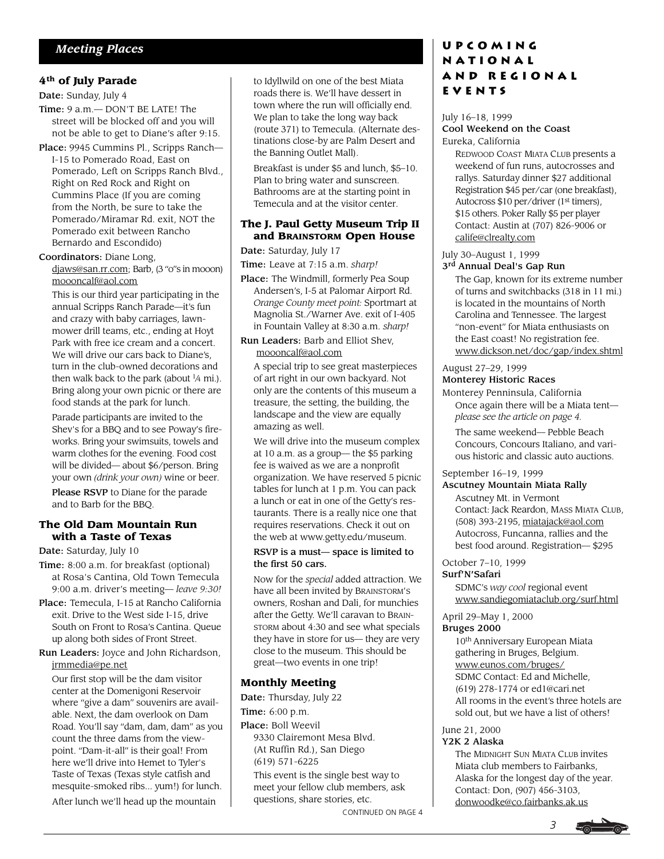### **4th of July Parade**

Date: Sunday, July 4

- Time: 9 a.m.— DON'T BE LATE! The street will be blocked off and you will not be able to get to Diane's after 9:15.
- Place: 9945 Cummins Pl., Scripps Ranch— I-15 to Pomerado Road, East on Pomerado, Left on Scripps Ranch Blvd., Right on Red Rock and Right on Cummins Place (If you are coming from the North, be sure to take the Pomerado/Miramar Rd. exit, NOT the Pomerado exit between Rancho Bernardo and Escondido)

#### Coordinators: Diane Long,

djaws@san.rr.com; Barb, (3 "o"s in mooon) moooncalf@aol.com

This is our third year participating in the annual Scripps Ranch Parade—it's fun and crazy with baby carriages, lawnmower drill teams, etc., ending at Hoyt Park with free ice cream and a concert. We will drive our cars back to Diane's. turn in the club-owned decorations and then walk back to the park (about  $\frac{1}{4}$  mi.). Bring along your own picnic or there are food stands at the park for lunch.

Parade participants are invited to the Shev's for a BBQ and to see Poway's fireworks. Bring your swimsuits, towels and warm clothes for the evening. Food cost will be divided— about \$6/person. Bring your own *(drink your own)* wine or beer.

Please RSVP to Diane for the parade and to Barb for the BBQ.

### **The Old Dam Mountain Run with a Taste of Texas**

Date: Saturday, July 10

- Time: 8:00 a.m. for breakfast (optional) at Rosa's Cantina, Old Town Temecula 9:00 a.m. driver's meeting— *leave 9:30!*
- Place: Temecula, I-15 at Rancho California exit. Drive to the West side I-15, drive South on Front to Rosa's Cantina. Queue up along both sides of Front Street.
- Run Leaders: Joyce and John Richardson, jrmmedia@pe.net

Our first stop will be the dam visitor center at the Domenigoni Reservoir where "give a dam" souvenirs are available. Next, the dam overlook on Dam Road. You'll say "dam, dam, dam" as you count the three dams from the viewpoint. "Dam-it-all" is their goal! From here we'll drive into Hemet to Tyler's Taste of Texas (Texas style catfish and mesquite-smoked ribs... yum!) for lunch. After lunch we'll head up the mountain

to Idyllwild on one of the best Miata roads there is. We'll have dessert in town where the run will officially end. We plan to take the long way back (route 371) to Temecula. (Alternate destinations close-by are Palm Desert and the Banning Outlet Mall).

Breakfast is under \$5 and lunch, \$5–10. Plan to bring water and sunscreen. Bathrooms are at the starting point in Temecula and at the visitor center.

### **The J. Paul Getty Museum Trip II and BRAINSTORM Open House**

#### Date: Saturday, July 17

Time: Leave at 7:15 a.m. *sharp!*

- Place: The Windmill, formerly Pea Soup Andersen's, I-5 at Palomar Airport Rd. *Orange County meet point:* Sportmart at Magnolia St./Warner Ave. exit of I-405 in Fountain Valley at 8:30 a.m. *sharp!*
- Run Leaders: Barb and Elliot Shev, moooncalf@aol.com

A special trip to see great masterpieces of art right in our own backyard. Not only are the contents of this museum a treasure, the setting, the building, the landscape and the view are equally amazing as well.

We will drive into the museum complex at 10 a.m. as a group— the \$5 parking fee is waived as we are a nonprofit organization. We have reserved 5 picnic tables for lunch at 1 p.m. You can pack a lunch or eat in one of the Getty's restaurants. There is a really nice one that requires reservations. Check it out on the web at www.getty.edu/museum.

#### RSVP is a must— space is limited to the first 50 cars.

Now for the *special* added attraction. We have all been invited by BRAINSTORM'S owners, Roshan and Dali, for munchies after the Getty. We'll caravan to BRAIN-STORM about 4:30 and see what specials they have in store for us— they are very close to the museum. This should be great—two events in one trip!

### **Monthly Meeting**

Date: Thursday, July 22

Time: 6:00 p.m.

Place: Boll Weevil 9330 Clairemont Mesa Blvd. (At Ruffin Rd.), San Diego (619) 571-6225

This event is the single best way to meet your fellow club members, ask questions, share stories, etc.

CONTINUED ON PAGE 4

### **Upcoming National and Regional Events**

#### July 16–18, 1999 Cool Weekend on the Coast Eureka, California

REDWOOD COAST MIATA CLUB presents a weekend of fun runs, autocrosses and rallys. Saturday dinner \$27 additional Registration \$45 per/car (one breakfast), Autocross \$10 per/driver (1<sup>st</sup> timers), \$15 others. Poker Rally \$5 per player Contact: Austin at (707) 826-9006 or calife@clrealty.com

#### July 30–August 1, 1999 3<sup>rd</sup> Annual Deal's Gap Run

The Gap, known for its extreme number of turns and switchbacks (318 in 11 mi.) is located in the mountains of North Carolina and Tennessee. The largest "non-event" for Miata enthusiasts on the East coast! No registration fee. www.dickson.net/doc/gap/index.shtml

#### August 27–29, 1999 Monterey Historic Races

Monterey Penninsula, California Once again there will be a Miata tent *please see the article on page 4.*

The same weekend— Pebble Beach Concours, Concours Italiano, and various historic and classic auto auctions.

September 16–19, 1999

### Ascutney Mountain Miata Rally

Ascutney Mt. in Vermont Contact: Jack Reardon, MASS MIATA CLUB, (508) 393-2195, miatajack@aol.com Autocross, Funcanna, rallies and the best food around. Registration— \$295

October 7–10, 1999 Surf'N'Safari

> SDMC's *way cool* regional event www.sandiegomiataclub.org/surf.html

April 29–May 1, 2000

### Bruges 2000

10th Anniversary European Miata gathering in Bruges, Belgium. www.eunos.com/bruges/ SDMC Contact: Ed and Michelle, (619) 278-1774 or ed1@cari.net All rooms in the event's three hotels are sold out, but we have a list of others!

#### June 21, 2000 Y2K 2 Alaska

The MIDNIGHT SUN MIATA CLUB invites Miata club members to Fairbanks, Alaska for the longest day of the year. Contact: Don, (907) 456-3103, donwoodke@co.fairbanks.ak.us

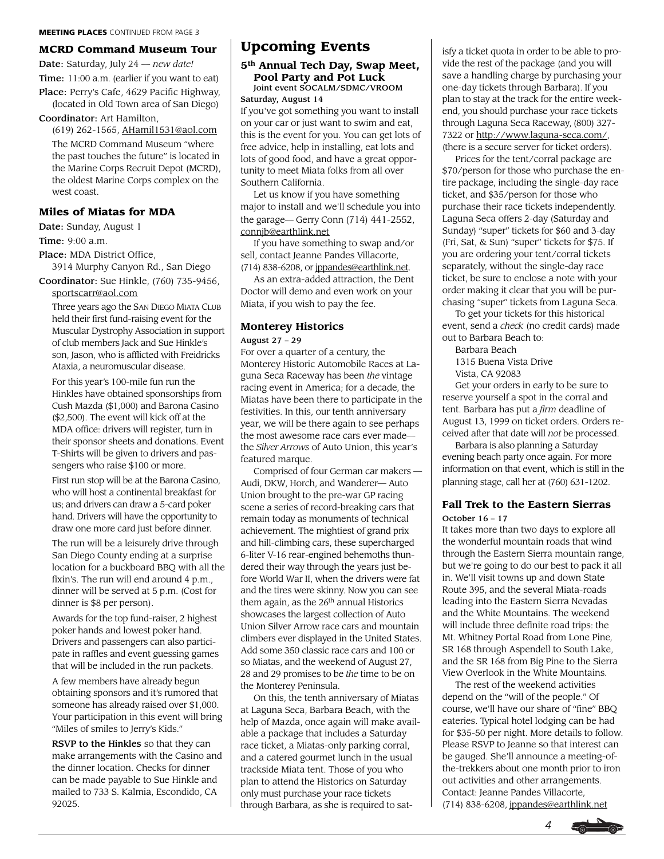#### **MCRD Command Museum Tour**

Date: Saturday, July 24 *— new date!* Time: 11:00 a.m. (earlier if you want to eat)

Place: Perry's Cafe, 4629 Pacific Highway, (located in Old Town area of San Diego)

#### Coordinator: Art Hamilton,

(619) 262-1565, AHamil1531@aol.com The MCRD Command Museum "where the past touches the future" is located in the Marine Corps Recruit Depot (MCRD), the oldest Marine Corps complex on the west coast.

#### **Miles of Miatas for MDA**

Date: Sunday, August 1

Time: 9:00 a.m.

Place: MDA District Office,

3914 Murphy Canyon Rd., San Diego Coordinator: Sue Hinkle, (760) 735-9456,

sportscarr@aol.com Three years ago the SAN DIEGO MIATA CLUB held their first fund-raising event for the Muscular Dystrophy Association in support of club members Jack and Sue Hinkle's son, Jason, who is afflicted with Freidricks Ataxia, a neuromuscular disease.

For this year's 100-mile fun run the Hinkles have obtained sponsorships from Cush Mazda (\$1,000) and Barona Casino (\$2,500). The event will kick off at the MDA office: drivers will register, turn in their sponsor sheets and donations. Event T-Shirts will be given to drivers and passengers who raise \$100 or more.

First run stop will be at the Barona Casino, who will host a continental breakfast for us; and drivers can draw a 5-card poker hand. Drivers will have the opportunity to draw one more card just before dinner.

The run will be a leisurely drive through San Diego County ending at a surprise location for a buckboard BBQ with all the fixin's. The run will end around 4 p.m., dinner will be served at 5 p.m. (Cost for dinner is \$8 per person).

Awards for the top fund-raiser, 2 highest poker hands and lowest poker hand. Drivers and passengers can also participate in raffles and event guessing games that will be included in the run packets.

A few members have already begun obtaining sponsors and it's rumored that someone has already raised over \$1,000. Your participation in this event will bring "Miles of smiles to Jerry's Kids."

RSVP to the Hinkles so that they can make arrangements with the Casino and the dinner location. Checks for dinner can be made payable to Sue Hinkle and mailed to 733 S. Kalmia, Escondido, CA 92025.

## **Upcoming Events**

### **5th Annual Tech Day, Swap Meet, Pool Party and Pot Luck**

Joint event SOCALM/SDMC/VROOM Saturday, August 14

If you've got something you want to install on your car or just want to swim and eat, this is the event for you. You can get lots of free advice, help in installing, eat lots and lots of good food, and have a great opportunity to meet Miata folks from all over Southern California.

Let us know if you have something major to install and we'll schedule you into the garage— Gerry Conn (714) 441-2552, connjb@earthlink.net

If you have something to swap and/or sell, contact Jeanne Pandes Villacorte, (714) 838-6208, or jppandes@earthlink.net.

As an extra-added attraction, the Dent Doctor will demo and even work on your Miata, if you wish to pay the fee.

#### **Monterey Historics**

#### August 27 – 29

For over a quarter of a century, the Monterey Historic Automobile Races at Laguna Seca Raceway has been *the* vintage racing event in America; for a decade, the Miatas have been there to participate in the festivities. In this, our tenth anniversary year, we will be there again to see perhaps the most awesome race cars ever made the *Silver Arrows* of Auto Union, this year's featured marque.

Comprised of four German car makers — Audi, DKW, Horch, and Wanderer— Auto Union brought to the pre-war GP racing scene a series of record-breaking cars that remain today as monuments of technical achievement. The mightiest of grand prix and hill-climbing cars, these supercharged 6-liter V-16 rear-engined behemoths thundered their way through the years just before World War II, when the drivers were fat and the tires were skinny. Now you can see them again, as the  $26<sup>th</sup>$  annual Historics showcases the largest collection of Auto Union Silver Arrow race cars and mountain climbers ever displayed in the United States. Add some 350 classic race cars and 100 or so Miatas, and the weekend of August 27, 28 and 29 promises to be *the* time to be on the Monterey Peninsula.

On this, the tenth anniversary of Miatas at Laguna Seca, Barbara Beach, with the help of Mazda, once again will make available a package that includes a Saturday race ticket, a Miatas-only parking corral, and a catered gourmet lunch in the usual trackside Miata tent. Those of you who plan to attend the Historics on Saturday only must purchase your race tickets through Barbara, as she is required to satisfy a ticket quota in order to be able to provide the rest of the package (and you will save a handling charge by purchasing your one-day tickets through Barbara). If you plan to stay at the track for the entire weekend, you should purchase your race tickets through Laguna Seca Raceway, (800) 327- 7322 or http://www.laguna-seca.com/, (there is a secure server for ticket orders).

Prices for the tent/corral package are \$70/person for those who purchase the entire package, including the single-day race ticket, and \$35/person for those who purchase their race tickets independently. Laguna Seca offers 2-day (Saturday and Sunday) "super" tickets for \$60 and 3-day (Fri, Sat, & Sun) "super" tickets for \$75. If you are ordering your tent/corral tickets separately, without the single-day race ticket, be sure to enclose a note with your order making it clear that you will be purchasing "super" tickets from Laguna Seca.

To get your tickets for this historical event, send a *check* (no credit cards) made out to Barbara Beach to:

Barbara Beach

1315 Buena Vista Drive

Vista, CA 92083

Get your orders in early to be sure to reserve yourself a spot in the corral and tent. Barbara has put a *firm* deadline of August 13, 1999 on ticket orders. Orders received after that date will *not* be processed.

Barbara is also planning a Saturday evening beach party once again. For more information on that event, which is still in the planning stage, call her at (760) 631-1202.

### **Fall Trek to the Eastern Sierras** October 16 – 17

It takes more than two days to explore all the wonderful mountain roads that wind through the Eastern Sierra mountain range, but we're going to do our best to pack it all in. We'll visit towns up and down State Route 395, and the several Miata-roads leading into the Eastern Sierra Nevadas and the White Mountains. The weekend will include three definite road trips: the Mt. Whitney Portal Road from Lone Pine, SR 168 through Aspendell to South Lake, and the SR 168 from Big Pine to the Sierra View Overlook in the White Mountains.

The rest of the weekend activities depend on the "will of the people." Of course, we'll have our share of "fine" BBQ eateries. Typical hotel lodging can be had for \$35-50 per night. More details to follow. Please RSVP to Jeanne so that interest can be gauged. She'll announce a meeting-ofthe-trekkers about one month prior to iron out activities and other arrangements. Contact: Jeanne Pandes Villacorte, (714) 838-6208, jppandes@earthlink.net

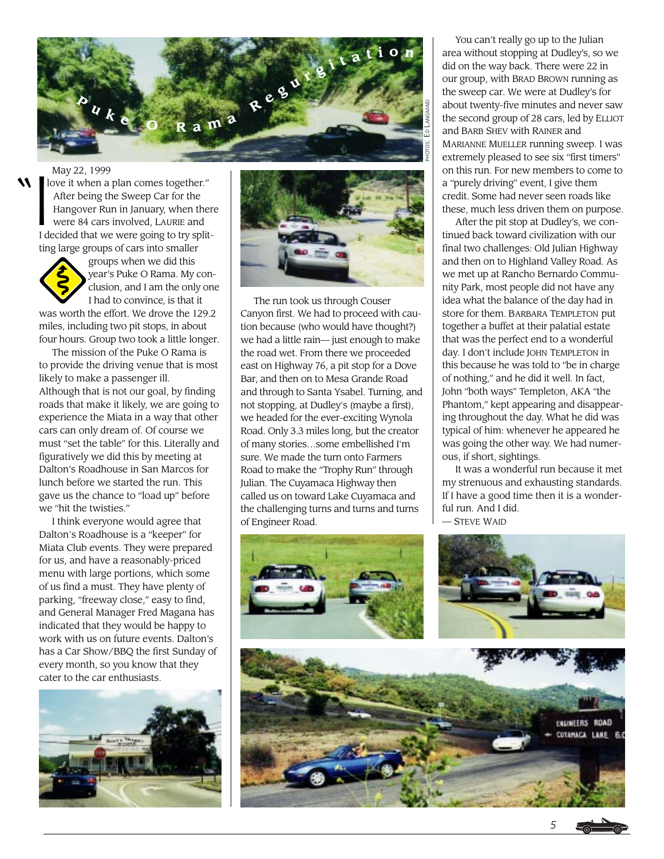

May 22, 1999

1 love it when a plan comes together." After being the Sweep Car for the Hangover Run in January, when there were 84 cars involved, LAURIE and I decided that we were going to try splitting large groups of cars into smaller



 groups when we did this year's Puke O Rama. My con clusion, and I am the only one I had to convince, is that it was worth the effort. We drove the 129.2

miles, including two pit stops, in about four hours. Group two took a little longer.

The mission of the Puke O Rama is to provide the driving venue that is most likely to make a passenger ill. Although that is not our goal, by finding roads that make it likely, we are going to experience the Miata in a way that other cars can only dream of. Of course we must "set the table" for this. Literally and figuratively we did this by meeting at Dalton's Roadhouse in San Marcos for lunch before we started the run. This gave us the chance to "load up" before we "hit the twisties."

I think everyone would agree that Dalton's Roadhouse is a "keeper" for Miata Club events. They were prepared for us, and have a reasonably-priced menu with large portions, which some of us find a must. They have plenty of parking, "freeway close," easy to find, and General Manager Fred Magana has indicated that they would be happy to work with us on future events. Dalton's has a Car Show/BBQ the first Sunday of every month, so you know that they cater to the car enthusiasts.





The run took us through Couser Canyon first. We had to proceed with caution because (who would have thought?) we had a little rain— just enough to make the road wet. From there we proceeded east on Highway 76, a pit stop for a Dove Bar, and then on to Mesa Grande Road and through to Santa Ysabel. Turning, and not stopping, at Dudley's (maybe a first), we headed for the ever-exciting Wynola Road. Only 3.3 miles long, but the creator of many stories…some embellished I'm sure. We made the turn onto Farmers Road to make the "Trophy Run" through Julian. The Cuyamaca Highway then called us on toward Lake Cuyamaca and the challenging turns and turns and turns of Engineer Road.

You can't really go up to the Julian area without stopping at Dudley's, so we did on the way back. There were 22 in our group, with BRAD BROWN running as the sweep car. We were at Dudley's for about twenty-five minutes and never saw the second group of 28 cars, led by ELLIOT and BARB SHEV with RAINER and MARIANNE MUELLER running sweep. I was extremely pleased to see six "first timers" on this run. For new members to come to a "purely driving" event, I give them credit. Some had never seen roads like these, much less driven them on purpose.

After the pit stop at Dudley's, we continued back toward civilization with our final two challenges: Old Julian Highway and then on to Highland Valley Road. As we met up at Rancho Bernardo Community Park, most people did not have any idea what the balance of the day had in store for them. BARBARA TEMPLETON put together a buffet at their palatial estate that was the perfect end to a wonderful day. I don't include JOHN TEMPLETON in this because he was told to "be in charge of nothing," and he did it well. In fact, John "both ways" Templeton, AKA "the Phantom," kept appearing and disappearing throughout the day. What he did was typical of him: whenever he appeared he was going the other way. We had numerous, if short, sightings.

It was a wonderful run because it met my strenuous and exhausting standards. If I have a good time then it is a wonderful run. And I did.

— STEVE WAID

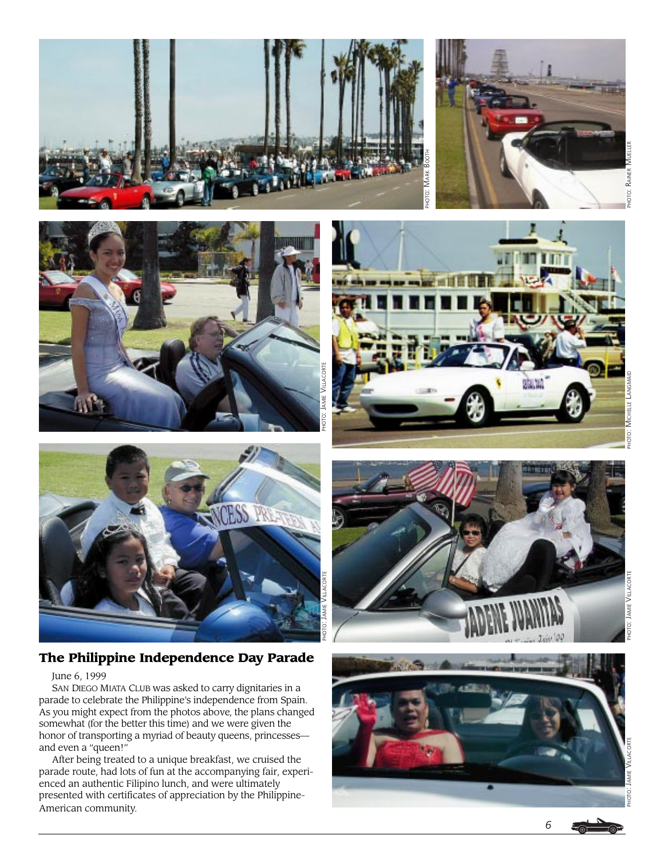





RAINER OΤΟ:



# **The Philippine Independence Day Parade**

### June 6, 1999

SAN DIEGO MIATA CLUB was asked to carry dignitaries in a parade to celebrate the Philippine's independence from Spain. As you might expect from the photos above, the plans changed somewhat (for the better this time) and we were given the honor of transporting a myriad of beauty queens, princesses and even a "queen!"

After being treated to a unique breakfast, we cruised the parade route, had lots of fun at the accompanying fair, experienced an authentic Filipino lunch, and were ultimately presented with certificates of appreciation by the Philippine-American community.

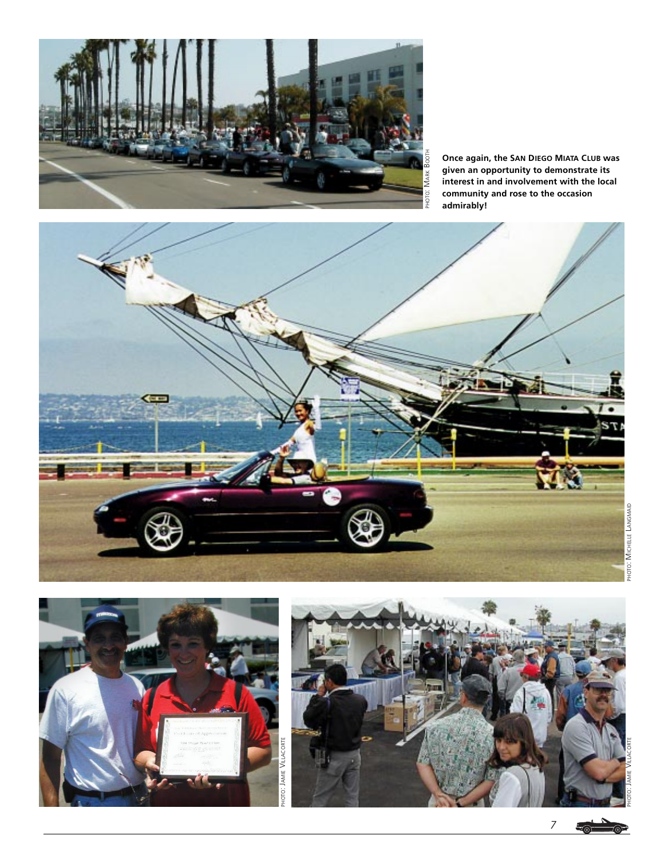

**Once again, the SAN DIEGO MIATA CLUB was given an opportunity to demonstrate its interest in and involvement with the local community and rose to the occasion admirably!**







*7*  $\epsilon$  or

 $\circledcirc$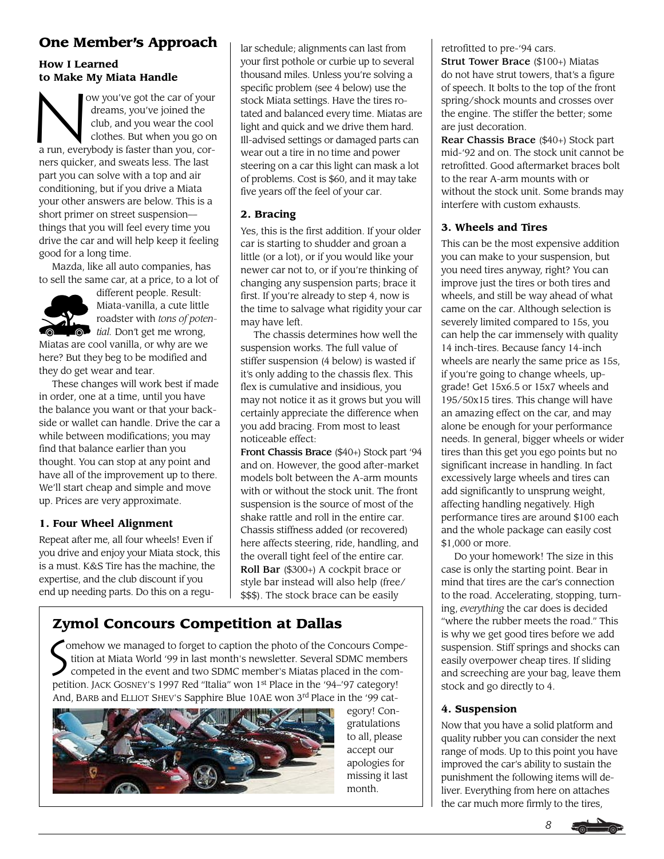# **One Member's Approach**

### **How I Learned to Make My Miata Handle**

to Make M ow you've got the car of your dreams, you've joined the club, and you wear the cool clothes. But when you go on a run, everybody is faster than you, corners quicker, and sweats less. The last part you can solve with a top and air conditioning, but if you drive a Miata your other answers are below. This is a short primer on street suspension things that you will feel every time you drive the car and will help keep it feeling good for a long time.

Mazda, like all auto companies, has to sell the same car, at a price, to a lot of



different people. Result: Miata-vanilla, a cute little roadster with *tons of potenvalued tial.* Don't get me wrong,

Miatas are cool vanilla, or why are we here? But they beg to be modified and they do get wear and tear.

These changes will work best if made in order, one at a time, until you have the balance you want or that your backside or wallet can handle. Drive the car a while between modifications; you may find that balance earlier than you thought. You can stop at any point and have all of the improvement up to there. We'll start cheap and simple and move up. Prices are very approximate.

### **1. Four Wheel Alignment**

Repeat after me, all four wheels! Even if you drive and enjoy your Miata stock, this is a must. K&S Tire has the machine, the expertise, and the club discount if you end up needing parts. Do this on a regular schedule; alignments can last from your first pothole or curbie up to several thousand miles. Unless you're solving a specific problem (see 4 below) use the stock Miata settings. Have the tires rotated and balanced every time. Miatas are light and quick and we drive them hard. Ill-advised settings or damaged parts can wear out a tire in no time and power steering on a car this light can mask a lot of problems. Cost is \$60, and it may take five years off the feel of your car.

### **2. Bracing**

Yes, this is the first addition. If your older car is starting to shudder and groan a little (or a lot), or if you would like your newer car not to, or if you're thinking of changing any suspension parts; brace it first. If you're already to step 4, now is the time to salvage what rigidity your car may have left.

The chassis determines how well the suspension works. The full value of stiffer suspension (4 below) is wasted if it's only adding to the chassis flex. This flex is cumulative and insidious, you may not notice it as it grows but you will certainly appreciate the difference when you add bracing. From most to least noticeable effect:

Front Chassis Brace (\$40+) Stock part '94 and on. However, the good after-market models bolt between the A-arm mounts with or without the stock unit. The front suspension is the source of most of the shake rattle and roll in the entire car. Chassis stiffness added (or recovered) here affects steering, ride, handling, and the overall tight feel of the entire car. Roll Bar (\$300+) A cockpit brace or style bar instead will also help (free/ \$\$\$). The stock brace can be easily

# **Zymol Concours Competition at Dallas**

 omehow we managed to forget to caption the photo of the Concours Compe tition at Miata World '99 in last month's newsletter. Several SDMC members competed in the event and two SDMC member's Miatas placed in the competition. JACK GOSNEY'S 1997 Red "Italia" won 1<sup>st</sup> Place in the '94-'97 category! And, BARB and ELLIOT SHEV'S Sapphire Blue 10AE won 3rd Place in the '99 cat- $\overline{S}$ 



egory! Congratulations to all, please accept our apologies for missing it last month.

retrofitted to pre-'94 cars.

Strut Tower Brace (\$100+) Miatas do not have strut towers, that's a figure of speech. It bolts to the top of the front spring/shock mounts and crosses over the engine. The stiffer the better; some are just decoration.

Rear Chassis Brace (\$40+) Stock part mid-'92 and on. The stock unit cannot be retrofitted. Good aftermarket braces bolt to the rear A-arm mounts with or without the stock unit. Some brands may interfere with custom exhausts.

### **3. Wheels and Tires**

This can be the most expensive addition you can make to your suspension, but you need tires anyway, right? You can improve just the tires or both tires and wheels, and still be way ahead of what came on the car. Although selection is severely limited compared to 15s, you can help the car immensely with quality 14 inch-tires. Because fancy 14-inch wheels are nearly the same price as 15s, if you're going to change wheels, upgrade! Get 15x6.5 or 15x7 wheels and 195/50x15 tires. This change will have an amazing effect on the car, and may alone be enough for your performance needs. In general, bigger wheels or wider tires than this get you ego points but no significant increase in handling. In fact excessively large wheels and tires can add significantly to unsprung weight, affecting handling negatively. High performance tires are around \$100 each and the whole package can easily cost \$1,000 or more.

Do your homework! The size in this case is only the starting point. Bear in mind that tires are the car's connection to the road. Accelerating, stopping, turning, *everything* the car does is decided "where the rubber meets the road." This is why we get good tires before we add suspension. Stiff springs and shocks can easily overpower cheap tires. If sliding and screeching are your bag, leave them stock and go directly to 4.

### **4. Suspension**

Now that you have a solid platform and quality rubber you can consider the next range of mods. Up to this point you have improved the car's ability to sustain the punishment the following items will deliver. Everything from here on attaches the car much more firmly to the tires,

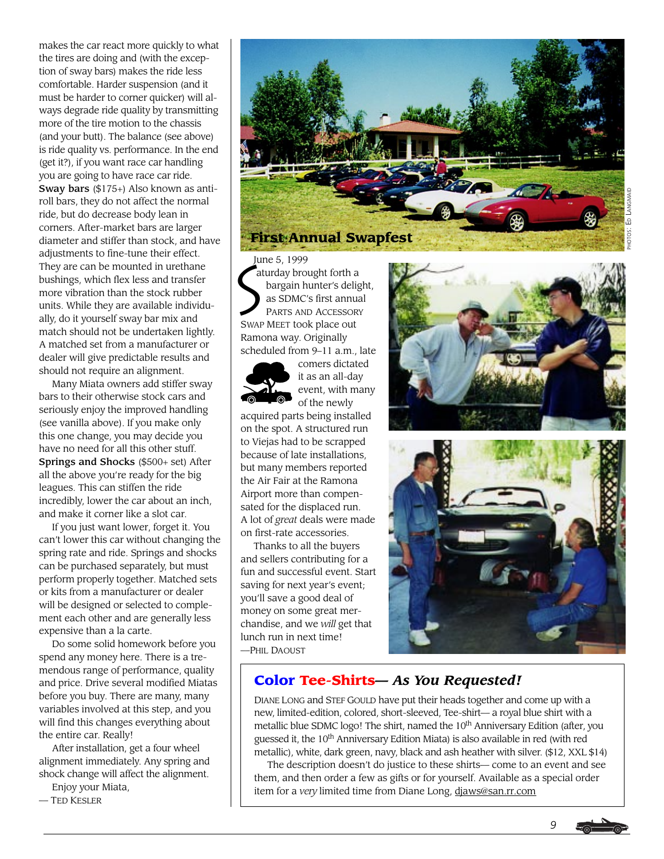makes the car react more quickly to what the tires are doing and (with the exception of sway bars) makes the ride less comfortable. Harder suspension (and it must be harder to corner quicker) will always degrade ride quality by transmitting more of the tire motion to the chassis (and your butt). The balance (see above) is ride quality vs. performance. In the end (get it?), if you want race car handling you are going to have race car ride. Sway bars (\$175+) Also known as antiroll bars, they do not affect the normal ride, but do decrease body lean in corners. After-market bars are larger diameter and stiffer than stock, and have adjustments to fine-tune their effect. They are can be mounted in urethane bushings, which flex less and transfer more vibration than the stock rubber units. While they are available individually, do it yourself sway bar mix and match should not be undertaken lightly. A matched set from a manufacturer or dealer will give predictable results and should not require an alignment.

Many Miata owners add stiffer sway bars to their otherwise stock cars and seriously enjoy the improved handling (see vanilla above). If you make only this one change, you may decide you have no need for all this other stuff. Springs and Shocks (\$500+ set) After all the above you're ready for the big leagues. This can stiffen the ride incredibly, lower the car about an inch, and make it corner like a slot car.

If you just want lower, forget it. You can't lower this car without changing the spring rate and ride. Springs and shocks can be purchased separately, but must perform properly together. Matched sets or kits from a manufacturer or dealer will be designed or selected to complement each other and are generally less expensive than a la carte.

Do some solid homework before you spend any money here. There is a tremendous range of performance, quality and price. Drive several modified Miatas before you buy. There are many, many variables involved at this step, and you will find this changes everything about the entire car. Really!

After installation, get a four wheel alignment immediately. Any spring and shock change will affect the alignment.

Enjoy your Miata,

— TED KESLER



Jur<br>Sat June 5, 1999 aturday brought forth a bargain hunter's delight, as SDMC's first annual PARTS AND ACCESSORY SWAP MEET took place out Ramona way. Originally scheduled from 9–11 a.m., late



comers dictated it as an all-day event, with many of the newly

acquired parts being installed on the spot. A structured run to Viejas had to be scrapped because of late installations, but many members reported the Air Fair at the Ramona Airport more than compensated for the displaced run. A lot of *great* deals were made on first-rate accessories.

Thanks to all the buyers and sellers contributing for a fun and successful event. Start saving for next year's event; you'll save a good deal of money on some great merchandise, and we *will* get that lunch run in next time! —PHIL DAOUST





## **Color Tee-Shirts—** *As You Requested!*

DIANE LONG and STEF GOULD have put their heads together and come up with a new, limited-edition, colored, short-sleeved, Tee-shirt— a royal blue shirt with a metallic blue SDMC logo! The shirt, named the 10<sup>th</sup> Anniversary Edition (after, you guessed it, the 10<sup>th</sup> Anniversary Edition Miata) is also available in red (with red metallic), white, dark green, navy, black and ash heather with silver. (\$12, XXL \$14)

The description doesn't do justice to these shirts— come to an event and see them, and then order a few as gifts or for yourself. Available as a special order item for a *very* limited time from Diane Long, djaws@san.rr.com

*9*

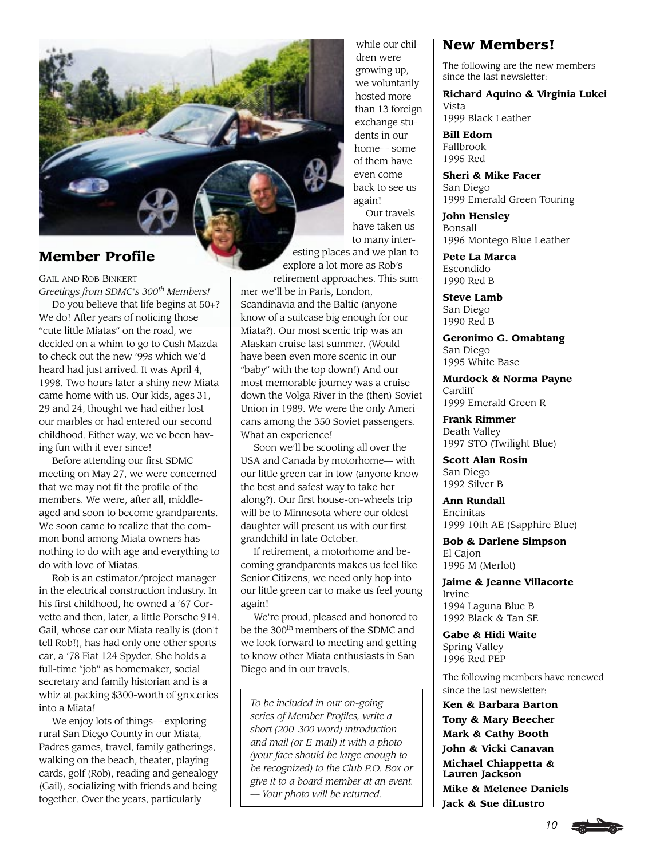

GAIL AND ROB BINKERT *Greetings from SDMC's 300th Members!*

Do you believe that life begins at 50+? We do! After years of noticing those "cute little Miatas" on the road, we decided on a whim to go to Cush Mazda to check out the new '99s which we'd heard had just arrived. It was April 4, 1998. Two hours later a shiny new Miata came home with us. Our kids, ages 31, 29 and 24, thought we had either lost our marbles or had entered our second childhood. Either way, we've been having fun with it ever since!

Before attending our first SDMC meeting on May 27, we were concerned that we may not fit the profile of the members. We were, after all, middleaged and soon to become grandparents. We soon came to realize that the common bond among Miata owners has nothing to do with age and everything to do with love of Miatas.

Rob is an estimator/project manager in the electrical construction industry. In his first childhood, he owned a '67 Corvette and then, later, a little Porsche 914. Gail, whose car our Miata really is (don't tell Rob!), has had only one other sports car, a '78 Fiat 124 Spyder. She holds a full-time "job" as homemaker, social secretary and family historian and is a whiz at packing \$300-worth of groceries into a Miata!

We enjoy lots of things— exploring rural San Diego County in our Miata, Padres games, travel, family gatherings, walking on the beach, theater, playing cards, golf (Rob), reading and genealogy (Gail), socializing with friends and being together. Over the years, particularly

while our children were growing up, we voluntarily hosted more than 13 foreign exchange students in our home— some of them have even come back to see us again! Our travels have taken us to many inter-

esting places and we plan to explore a lot more as Rob's

retirement approaches. This summer we'll be in Paris, London, Scandinavia and the Baltic (anyone know of a suitcase big enough for our Miata?). Our most scenic trip was an Alaskan cruise last summer. (Would have been even more scenic in our "baby" with the top down!) And our most memorable journey was a cruise down the Volga River in the (then) Soviet Union in 1989. We were the only Americans among the 350 Soviet passengers. What an experience!

Soon we'll be scooting all over the USA and Canada by motorhome— with our little green car in tow (anyone know the best and safest way to take her along?). Our first house-on-wheels trip will be to Minnesota where our oldest daughter will present us with our first grandchild in late October.

If retirement, a motorhome and becoming grandparents makes us feel like Senior Citizens, we need only hop into our little green car to make us feel young again!

We're proud, pleased and honored to be the 300<sup>th</sup> members of the SDMC and we look forward to meeting and getting to know other Miata enthusiasts in San Diego and in our travels.

*To be included in our on-going series of Member Profiles, write a short (200–300 word) introduction and mail (or E-mail) it with a photo (your face should be large enough to be recognized) to the Club P.O. Box or give it to a board member at an event. — Your photo will be returned.*

### **New Members!**

The following are the new members since the last newsletter:

**Richard Aquino & Virginia Lukei** Vista

1999 Black Leather

**Bill Edom** Fallbrook 1995 Red

**Sheri & Mike Facer** San Diego 1999 Emerald Green Touring

**John Hensley** Bonsall 1996 Montego Blue Leather

**Pete La Marca** Escondido 1990 Red B

**Steve Lamb** San Diego 1990 Red B

**Geronimo G. Omabtang** San Diego 1995 White Base

**Murdock & Norma Payne** Cardiff 1999 Emerald Green R

**Frank Rimmer** Death Valley 1997 STO (Twilight Blue)

**Scott Alan Rosin** San Diego 1992 Silver B

**Ann Rundall** Encinitas 1999 10th AE (Sapphire Blue)

**Bob & Darlene Simpson** El Cajon 1995 M (Merlot)

**Jaime & Jeanne Villacorte** Irvine 1994 Laguna Blue B 1992 Black & Tan SE

**Gabe & Hidi Waite** Spring Valley 1996 Red PEP

The following members have renewed since the last newsletter:

**Ken & Barbara Barton Tony & Mary Beecher Mark & Cathy Booth John & Vicki Canavan Michael Chiappetta & Lauren Jackson Mike & Melenee Daniels Jack & Sue diLustro**